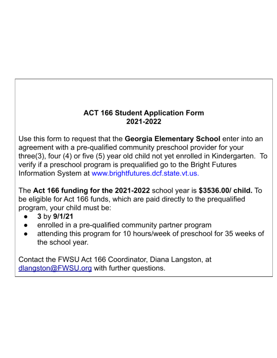# **ACT 166 Student Application Form** 2021-2022

Use this form to request that the Georgia Elementary School enter into an agreement with a pre-qualified community preschool provider for your three(3), four (4) or five (5) year old child not yet enrolled in Kindergarten. To verify if a preschool program is prequalified go to the Bright Futures Information System at www.brightfutures.dcf.state.vt.us.

The Act 166 funding for the 2021-2022 school year is  $$3536.00/$  child. To be eligible for Act 166 funds, which are paid directly to the prequalified program, your child must be:

- 3 by 9/1/21
- enrolled in a pre-qualified community partner program
- attending this program for 10 hours/week of preschool for 35 weeks of the school year.

Contact the FWSU Act 166 Coordinator, Diana Langston, at dlangston@FWSU.org with further questions.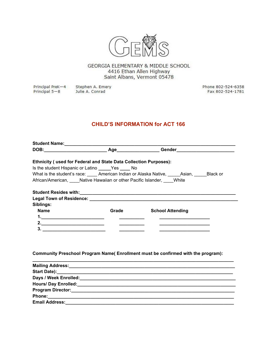

GEORGIA ELEMENTARY & MIDDLE SCHOOL 4416 Ethan Allen Highway Saint Albans, Vermont 05478

Principal PreK-4 Stephen A. Emery Principal 5-8 Julie A. Conrad

Phone 802-524-6358 Fax 802-524-1781

# **CHILD'S INFORMATION for ACT 166**

|             | <b>Ethnicity (used for Federal and State Data Collection Purposes):</b> |                                                                                                                       |  |
|-------------|-------------------------------------------------------------------------|-----------------------------------------------------------------------------------------------------------------------|--|
|             | Is the student Hispanic or Latino _______ Yes ______ No                 |                                                                                                                       |  |
|             |                                                                         | What is the student's race: _____ American Indian or Alaska Native, _____ Asian, _____ Black or                       |  |
|             | African/American, Native Hawaiian or other Pacific Islander, White      |                                                                                                                       |  |
|             |                                                                         |                                                                                                                       |  |
|             |                                                                         |                                                                                                                       |  |
|             |                                                                         |                                                                                                                       |  |
| Siblings:   |                                                                         |                                                                                                                       |  |
| <b>Name</b> | <b>Grade Samuel Strategy</b>                                            | <b>School Attending</b>                                                                                               |  |
|             |                                                                         |                                                                                                                       |  |
| 2.          |                                                                         | <u> 1980 - Johann John Harrison, markin amerikan bizi da da shekara 1980 - André a Santa Barat a Santa Barat a Sa</u> |  |
|             |                                                                         |                                                                                                                       |  |
|             |                                                                         |                                                                                                                       |  |
|             |                                                                         |                                                                                                                       |  |
|             |                                                                         |                                                                                                                       |  |
|             |                                                                         |                                                                                                                       |  |

| Hours/ Day Enrolled:  | <u> 1999 - Jan James James James James James James James James James James James James James James James James J</u> |
|-----------------------|----------------------------------------------------------------------------------------------------------------------|
|                       |                                                                                                                      |
|                       |                                                                                                                      |
| <b>Email Address:</b> |                                                                                                                      |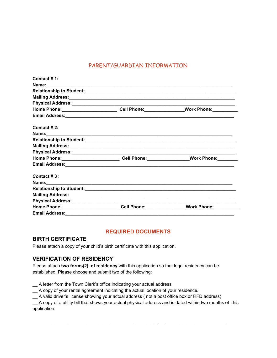## PARENT/GUARDIAN INFORMATION

| Contact # 1:                                                                            |                         |
|-----------------------------------------------------------------------------------------|-------------------------|
|                                                                                         |                         |
|                                                                                         |                         |
|                                                                                         |                         |
|                                                                                         |                         |
| Home Phone:____________________________Cell Phone:________________Work Phone:__________ |                         |
|                                                                                         |                         |
| Contact # $2:$                                                                          |                         |
|                                                                                         |                         |
|                                                                                         |                         |
|                                                                                         |                         |
|                                                                                         |                         |
| Home Phone:____________________________Cell Phone:_________________Work Phone:________  |                         |
|                                                                                         |                         |
| Contact $#3$ :                                                                          |                         |
|                                                                                         |                         |
|                                                                                         |                         |
|                                                                                         |                         |
|                                                                                         |                         |
| Home Phone: _____________________________Cell Phone: ___________________________        | Work Phone: Work Phone: |
| <b>Email Address:</b>                                                                   |                         |

### **REQUIRED DOCUMENTS**

#### **BIRTH CERTIFICATE**

Please attach a copy of your child's birth certificate with this application.

## **VERIFICATION OF RESIDENCY**

Please attach **two forms(2) of residency** with this application so that legal residency can be established. Please choose and submit two of the following:

**\_\_** A letter from the Town Clerk's office indicating your actual address

\_\_ A copy of your rental agreement indicating the actual location of your residence.

\_\_ A valid driver's license showing your actual address ( not a post office box or RFD address)

**\_\_\_\_\_\_\_\_\_\_\_\_\_\_\_\_\_\_\_\_\_\_\_\_\_\_\_\_\_\_\_\_\_\_\_\_\_\_\_\_\_\_\_\_\_\_\_\_\_\_ \_\_\_\_\_\_\_\_\_\_\_\_\_\_\_\_\_\_\_\_\_\_\_\_**

\_\_ A copy of a utility bill that shows your actual physical address and is dated within two months of this application.